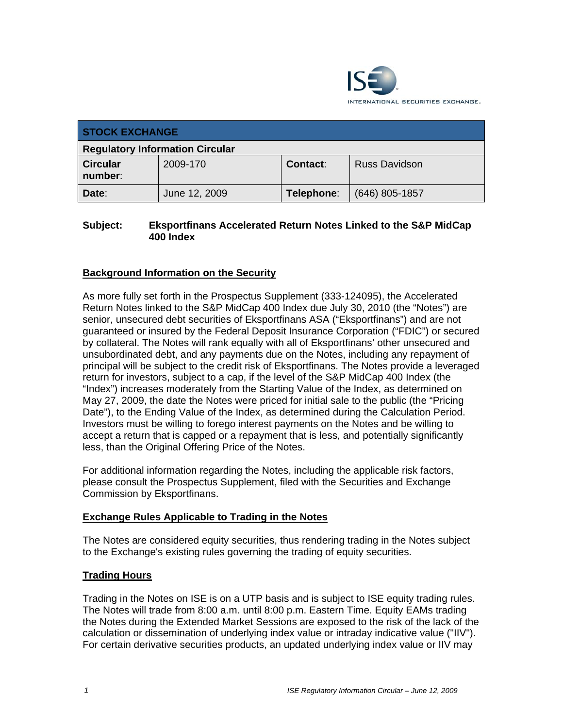

| <b>STOCK EXCHANGE</b>                  |               |            |                      |
|----------------------------------------|---------------|------------|----------------------|
| <b>Regulatory Information Circular</b> |               |            |                      |
| <b>Circular</b><br>number:             | 2009-170      | Contact:   | <b>Russ Davidson</b> |
| Date:                                  | June 12, 2009 | Telephone: | $(646)$ 805-1857     |

### **Subject: Eksportfinans Accelerated Return Notes Linked to the S&P MidCap 400 Index**

## **Background Information on the Security**

As more fully set forth in the Prospectus Supplement (333-124095), the Accelerated Return Notes linked to the S&P MidCap 400 Index due July 30, 2010 (the "Notes") are senior, unsecured debt securities of Eksportfinans ASA ("Eksportfinans") and are not guaranteed or insured by the Federal Deposit Insurance Corporation ("FDIC") or secured by collateral. The Notes will rank equally with all of Eksportfinans' other unsecured and unsubordinated debt, and any payments due on the Notes, including any repayment of principal will be subject to the credit risk of Eksportfinans. The Notes provide a leveraged return for investors, subject to a cap, if the level of the S&P MidCap 400 Index (the "Index") increases moderately from the Starting Value of the Index, as determined on May 27, 2009, the date the Notes were priced for initial sale to the public (the "Pricing Date"), to the Ending Value of the Index, as determined during the Calculation Period. Investors must be willing to forego interest payments on the Notes and be willing to accept a return that is capped or a repayment that is less, and potentially significantly less, than the Original Offering Price of the Notes.

For additional information regarding the Notes, including the applicable risk factors, please consult the Prospectus Supplement, filed with the Securities and Exchange Commission by Eksportfinans.

### **Exchange Rules Applicable to Trading in the Notes**

The Notes are considered equity securities, thus rendering trading in the Notes subject to the Exchange's existing rules governing the trading of equity securities.

### **Trading Hours**

Trading in the Notes on ISE is on a UTP basis and is subject to ISE equity trading rules. The Notes will trade from 8:00 a.m. until 8:00 p.m. Eastern Time. Equity EAMs trading the Notes during the Extended Market Sessions are exposed to the risk of the lack of the calculation or dissemination of underlying index value or intraday indicative value ("IIV"). For certain derivative securities products, an updated underlying index value or IIV may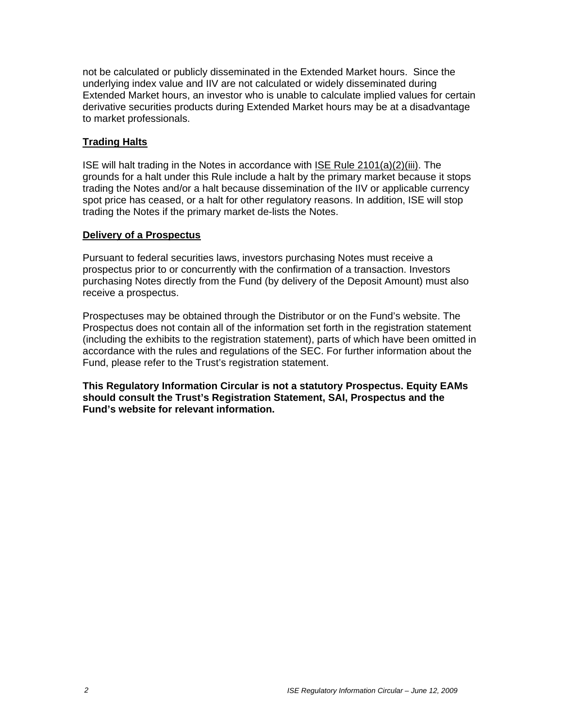not be calculated or publicly disseminated in the Extended Market hours. Since the underlying index value and IIV are not calculated or widely disseminated during Extended Market hours, an investor who is unable to calculate implied values for certain derivative securities products during Extended Market hours may be at a disadvantage to market professionals.

### **Trading Halts**

ISE will halt trading in the Notes in accordance with ISE Rule 2101(a)(2)(iii). The grounds for a halt under this Rule include a halt by the primary market because it stops trading the Notes and/or a halt because dissemination of the IIV or applicable currency spot price has ceased, or a halt for other regulatory reasons. In addition, ISE will stop trading the Notes if the primary market de-lists the Notes.

#### **Delivery of a Prospectus**

Pursuant to federal securities laws, investors purchasing Notes must receive a prospectus prior to or concurrently with the confirmation of a transaction. Investors purchasing Notes directly from the Fund (by delivery of the Deposit Amount) must also receive a prospectus.

Prospectuses may be obtained through the Distributor or on the Fund's website. The Prospectus does not contain all of the information set forth in the registration statement (including the exhibits to the registration statement), parts of which have been omitted in accordance with the rules and regulations of the SEC. For further information about the Fund, please refer to the Trust's registration statement.

**This Regulatory Information Circular is not a statutory Prospectus. Equity EAMs should consult the Trust's Registration Statement, SAI, Prospectus and the Fund's website for relevant information.**